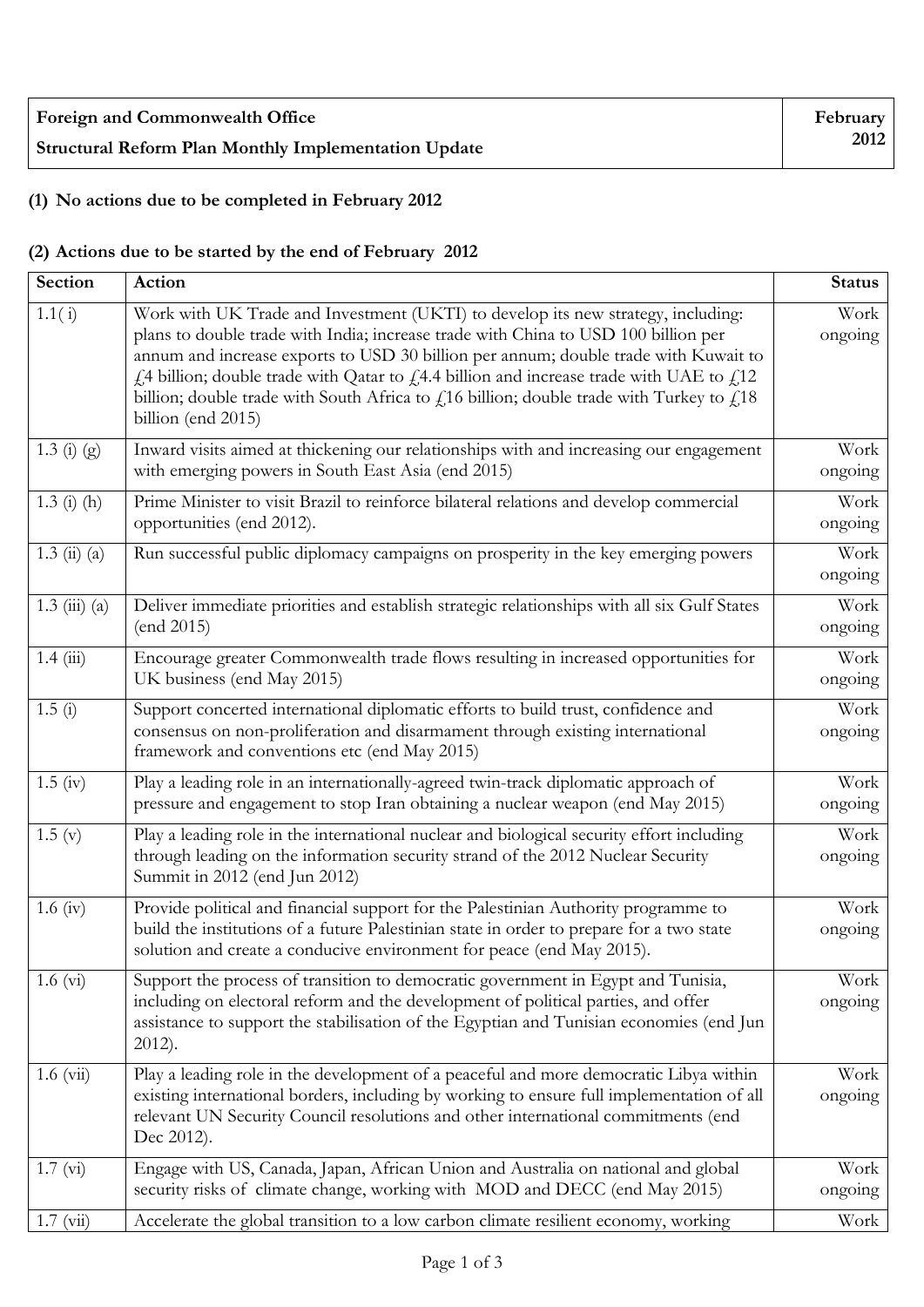| <b>Foreign and Commonwealth Office</b>                      |  |
|-------------------------------------------------------------|--|
| <b>Structural Reform Plan Monthly Implementation Update</b> |  |

## **(1) No actions due to be completed in February 2012**

## **(2) Actions due to be started by the end of February 2012**

| Section              | Action                                                                                                                                                                                                                                                                                                                                                                                                                                                                         | <b>Status</b>   |
|----------------------|--------------------------------------------------------------------------------------------------------------------------------------------------------------------------------------------------------------------------------------------------------------------------------------------------------------------------------------------------------------------------------------------------------------------------------------------------------------------------------|-----------------|
| 1.1(i)               | Work with UK Trade and Investment (UKTI) to develop its new strategy, including:<br>plans to double trade with India; increase trade with China to USD 100 billion per<br>annum and increase exports to USD 30 billion per annum; double trade with Kuwait to<br>£4 billion; double trade with Qatar to £4.4 billion and increase trade with UAE to £12<br>billion; double trade with South Africa to $f$ 16 billion; double trade with Turkey to $f$ 18<br>billion (end 2015) | Work<br>ongoing |
| 1.3 (i) (g)          | Inward visits aimed at thickening our relationships with and increasing our engagement<br>with emerging powers in South East Asia (end 2015)                                                                                                                                                                                                                                                                                                                                   | Work<br>ongoing |
| $1.3$ (i) (h)        | Prime Minister to visit Brazil to reinforce bilateral relations and develop commercial<br>opportunities (end 2012).                                                                                                                                                                                                                                                                                                                                                            | Work<br>ongoing |
| $1.3 \; (ii) \; (a)$ | Run successful public diplomacy campaigns on prosperity in the key emerging powers                                                                                                                                                                                                                                                                                                                                                                                             | Work<br>ongoing |
| $1.3 \ (iii) \ (a)$  | Deliver immediate priorities and establish strategic relationships with all six Gulf States<br>(end 2015)                                                                                                                                                                                                                                                                                                                                                                      | Work<br>ongoing |
| 1.4(iii)             | Encourage greater Commonwealth trade flows resulting in increased opportunities for<br>UK business (end May 2015)                                                                                                                                                                                                                                                                                                                                                              | Work<br>ongoing |
| 1.5(i)               | Support concerted international diplomatic efforts to build trust, confidence and<br>consensus on non-proliferation and disarmament through existing international<br>framework and conventions etc (end May 2015)                                                                                                                                                                                                                                                             | Work<br>ongoing |
| $1.5 \; (iv)$        | Play a leading role in an internationally-agreed twin-track diplomatic approach of<br>pressure and engagement to stop Iran obtaining a nuclear weapon (end May 2015)                                                                                                                                                                                                                                                                                                           | Work<br>ongoing |
| 1.5(y)               | Play a leading role in the international nuclear and biological security effort including<br>through leading on the information security strand of the 2012 Nuclear Security<br>Summit in 2012 (end Jun 2012)                                                                                                                                                                                                                                                                  | Work<br>ongoing |
| $1.6 \text{ (iv)}$   | Provide political and financial support for the Palestinian Authority programme to<br>build the institutions of a future Palestinian state in order to prepare for a two state<br>solution and create a conducive environment for peace (end May 2015).                                                                                                                                                                                                                        | Work<br>ongoing |
| $1.6 \text{ (vi)}$   | Support the process of transition to democratic government in Egypt and Tunisia,<br>including on electoral reform and the development of political parties, and offer<br>assistance to support the stabilisation of the Egyptian and Tunisian economies (end Jun<br>$2012$ ).                                                                                                                                                                                                  | Work<br>ongoing |
| $1.6 \ (vi)$         | Play a leading role in the development of a peaceful and more democratic Libya within<br>existing international borders, including by working to ensure full implementation of all<br>relevant UN Security Council resolutions and other international commitments (end<br>Dec 2012).                                                                                                                                                                                          | Work<br>ongoing |
| 1.7 (vi)             | Engage with US, Canada, Japan, African Union and Australia on national and global<br>security risks of climate change, working with MOD and DECC (end May 2015)                                                                                                                                                                                                                                                                                                                | Work<br>ongoing |
| $1.7 \ (vi)$         | Accelerate the global transition to a low carbon climate resilient economy, working                                                                                                                                                                                                                                                                                                                                                                                            | Work            |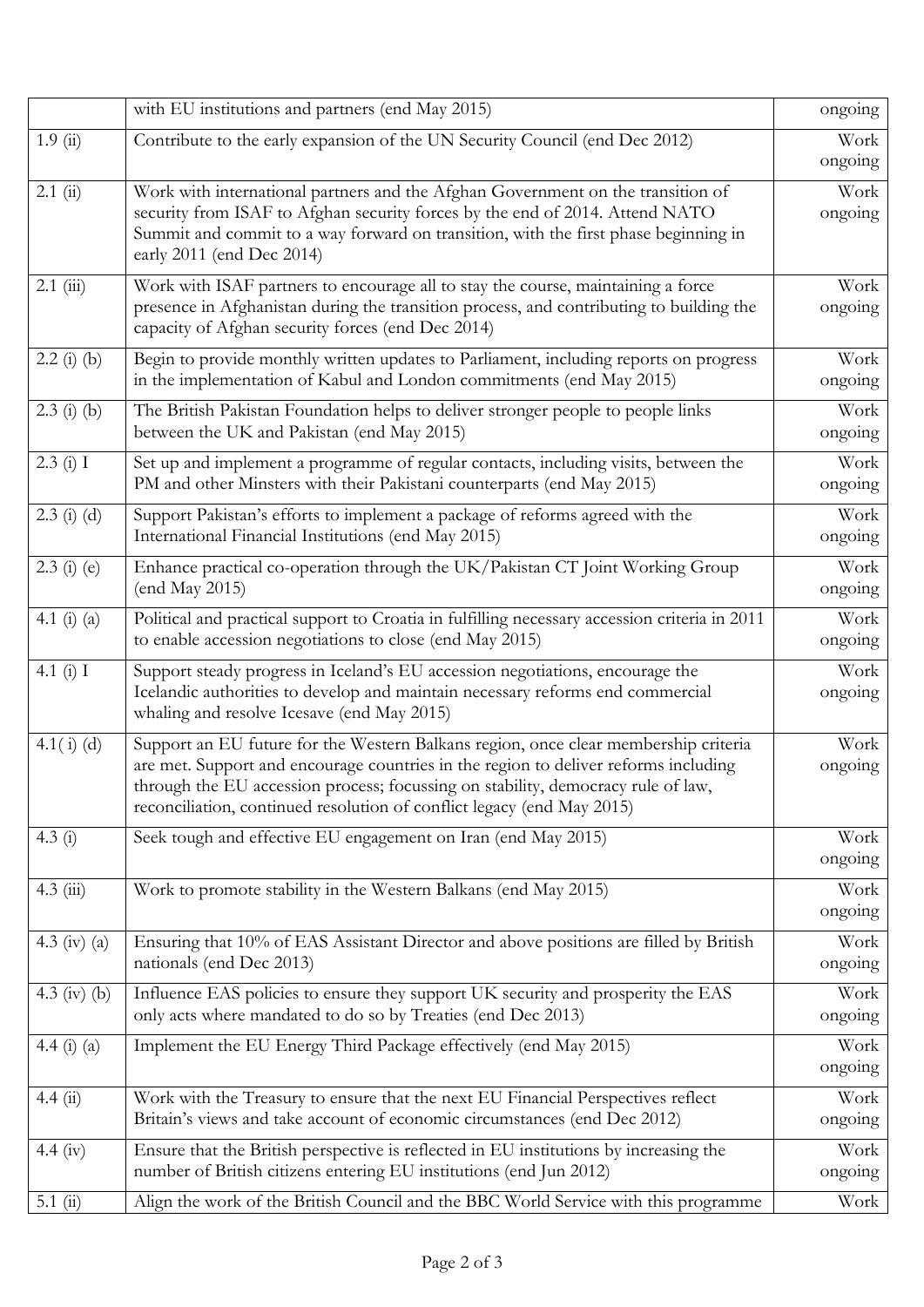|                 | with EU institutions and partners (end May 2015)                                                                                                                                                                                                                                                                                         | ongoing         |
|-----------------|------------------------------------------------------------------------------------------------------------------------------------------------------------------------------------------------------------------------------------------------------------------------------------------------------------------------------------------|-----------------|
| 1.9(i)          | Contribute to the early expansion of the UN Security Council (end Dec 2012)                                                                                                                                                                                                                                                              | Work<br>ongoing |
| 2.1(i)          | Work with international partners and the Afghan Government on the transition of<br>security from ISAF to Afghan security forces by the end of 2014. Attend NATO<br>Summit and commit to a way forward on transition, with the first phase beginning in<br>early 2011 (end Dec 2014)                                                      | Work<br>ongoing |
| $2.1$ (iii)     | Work with ISAF partners to encourage all to stay the course, maintaining a force<br>presence in Afghanistan during the transition process, and contributing to building the<br>capacity of Afghan security forces (end Dec 2014)                                                                                                         | Work<br>ongoing |
| $2.2$ (i) (b)   | Begin to provide monthly written updates to Parliament, including reports on progress<br>in the implementation of Kabul and London commitments (end May 2015)                                                                                                                                                                            | Work<br>ongoing |
| $2.3$ (i) (b)   | The British Pakistan Foundation helps to deliver stronger people to people links<br>between the UK and Pakistan (end May 2015)                                                                                                                                                                                                           | Work<br>ongoing |
| 2.3(i) I        | Set up and implement a programme of regular contacts, including visits, between the<br>PM and other Minsters with their Pakistani counterparts (end May 2015)                                                                                                                                                                            | Work<br>ongoing |
| $2.3$ (i) (d)   | Support Pakistan's efforts to implement a package of reforms agreed with the<br>International Financial Institutions (end May 2015)                                                                                                                                                                                                      | Work<br>ongoing |
| $2.3$ (i) (e)   | Enhance practical co-operation through the UK/Pakistan CT Joint Working Group<br>(end May 2015)                                                                                                                                                                                                                                          | Work<br>ongoing |
| 4.1 $(i)$ $(a)$ | Political and practical support to Croatia in fulfilling necessary accession criteria in 2011<br>to enable accession negotiations to close (end May 2015)                                                                                                                                                                                | Work<br>ongoing |
| 4.1 $(i)$ I     | Support steady progress in Iceland's EU accession negotiations, encourage the<br>Icelandic authorities to develop and maintain necessary reforms end commercial<br>whaling and resolve Icesave (end May 2015)                                                                                                                            | Work<br>ongoing |
| $4.1(i)$ (d)    | Support an EU future for the Western Balkans region, once clear membership criteria<br>are met. Support and encourage countries in the region to deliver reforms including<br>through the EU accession process; focussing on stability, democracy rule of law,<br>reconciliation, continued resolution of conflict legacy (end May 2015) | Work<br>ongoing |
| 4.3(i)          | Seek tough and effective EU engagement on Iran (end May 2015)                                                                                                                                                                                                                                                                            | Work<br>ongoing |
| $4.3 \ (iii)$   | Work to promote stability in the Western Balkans (end May 2015)                                                                                                                                                                                                                                                                          | Work<br>ongoing |
| 4.3 (iv) (a)    | Ensuring that 10% of EAS Assistant Director and above positions are filled by British<br>nationals (end Dec 2013)                                                                                                                                                                                                                        | Work<br>ongoing |
| 4.3 (iv) (b)    | Influence EAS policies to ensure they support UK security and prosperity the EAS<br>only acts where mandated to do so by Treaties (end Dec 2013)                                                                                                                                                                                         | Work<br>ongoing |
| 4.4 (i) (a)     | Implement the EU Energy Third Package effectively (end May 2015)                                                                                                                                                                                                                                                                         | Work<br>ongoing |
| 4.4(i)          | Work with the Treasury to ensure that the next EU Financial Perspectives reflect<br>Britain's views and take account of economic circumstances (end Dec 2012)                                                                                                                                                                            | Work<br>ongoing |
| 4.4 (iv)        | Ensure that the British perspective is reflected in EU institutions by increasing the<br>number of British citizens entering EU institutions (end Jun 2012)                                                                                                                                                                              | Work<br>ongoing |
| 5.1(i)          | Align the work of the British Council and the BBC World Service with this programme                                                                                                                                                                                                                                                      | Work            |